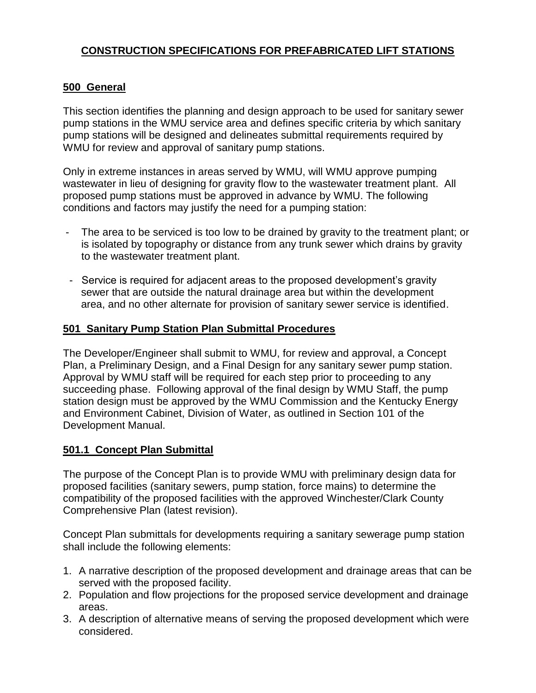# **CONSTRUCTION SPECIFICATIONS FOR PREFABRICATED LIFT STATIONS**

#### **500 General**

This section identifies the planning and design approach to be used for sanitary sewer pump stations in the WMU service area and defines specific criteria by which sanitary pump stations will be designed and delineates submittal requirements required by WMU for review and approval of sanitary pump stations.

Only in extreme instances in areas served by WMU, will WMU approve pumping wastewater in lieu of designing for gravity flow to the wastewater treatment plant. All proposed pump stations must be approved in advance by WMU. The following conditions and factors may justify the need for a pumping station:

- The area to be serviced is too low to be drained by gravity to the treatment plant; or is isolated by topography or distance from any trunk sewer which drains by gravity to the wastewater treatment plant.
- Service is required for adjacent areas to the proposed development's gravity sewer that are outside the natural drainage area but within the development area, and no other alternate for provision of sanitary sewer service is identified.

#### **501 Sanitary Pump Station Plan Submittal Procedures**

The Developer/Engineer shall submit to WMU, for review and approval, a Concept Plan, a Preliminary Design, and a Final Design for any sanitary sewer pump station. Approval by WMU staff will be required for each step prior to proceeding to any succeeding phase. Following approval of the final design by WMU Staff, the pump station design must be approved by the WMU Commission and the Kentucky Energy and Environment Cabinet, Division of Water, as outlined in Section 101 of the Development Manual.

## **501.1 Concept Plan Submittal**

The purpose of the Concept Plan is to provide WMU with preliminary design data for proposed facilities (sanitary sewers, pump station, force mains) to determine the compatibility of the proposed facilities with the approved Winchester/Clark County Comprehensive Plan (latest revision).

Concept Plan submittals for developments requiring a sanitary sewerage pump station shall include the following elements:

- 1. A narrative description of the proposed development and drainage areas that can be served with the proposed facility.
- 2. Population and flow projections for the proposed service development and drainage areas.
- 3. A description of alternative means of serving the proposed development which were considered.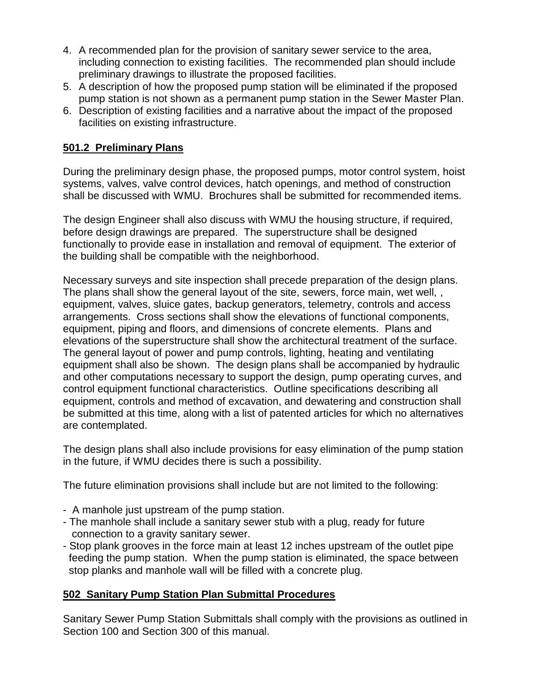- 4. A recommended plan for the provision of sanitary sewer service to the area, including connection to existing facilities. The recommended plan should include preliminary drawings to illustrate the proposed facilities.
- 5. A description of how the proposed pump station will be eliminated if the proposed pump station is not shown as a permanent pump station in the Sewer Master Plan.
- 6. Description of existing facilities and a narrative about the impact of the proposed facilities on existing infrastructure.

# **501.2 Preliminary Plans**

During the preliminary design phase, the proposed pumps, motor control system, hoist systems, valves, valve control devices, hatch openings, and method of construction shall be discussed with WMU. Brochures shall be submitted for recommended items.

The design Engineer shall also discuss with WMU the housing structure, if required, before design drawings are prepared. The superstructure shall be designed functionally to provide ease in installation and removal of equipment. The exterior of the building shall be compatible with the neighborhood.

Necessary surveys and site inspection shall precede preparation of the design plans. The plans shall show the general layout of the site, sewers, force main, wet well, , equipment, valves, sluice gates, backup generators, telemetry, controls and access arrangements. Cross sections shall show the elevations of functional components, equipment, piping and floors, and dimensions of concrete elements. Plans and elevations of the superstructure shall show the architectural treatment of the surface. The general layout of power and pump controls, lighting, heating and ventilating equipment shall also be shown. The design plans shall be accompanied by hydraulic and other computations necessary to support the design, pump operating curves, and control equipment functional characteristics. Outline specifications describing all equipment, controls and method of excavation, and dewatering and construction shall be submitted at this time, along with a list of patented articles for which no alternatives are contemplated.

The design plans shall also include provisions for easy elimination of the pump station in the future, if WMU decides there is such a possibility.

The future elimination provisions shall include but are not limited to the following:

- A manhole just upstream of the pump station.
- The manhole shall include a sanitary sewer stub with a plug, ready for future connection to a gravity sanitary sewer.
- Stop plank grooves in the force main at least 12 inches upstream of the outlet pipe feeding the pump station. When the pump station is eliminated, the space between stop planks and manhole wall will be filled with a concrete plug.

## **502 Sanitary Pump Station Plan Submittal Procedures**

Sanitary Sewer Pump Station Submittals shall comply with the provisions as outlined in Section 100 and Section 300 of this manual.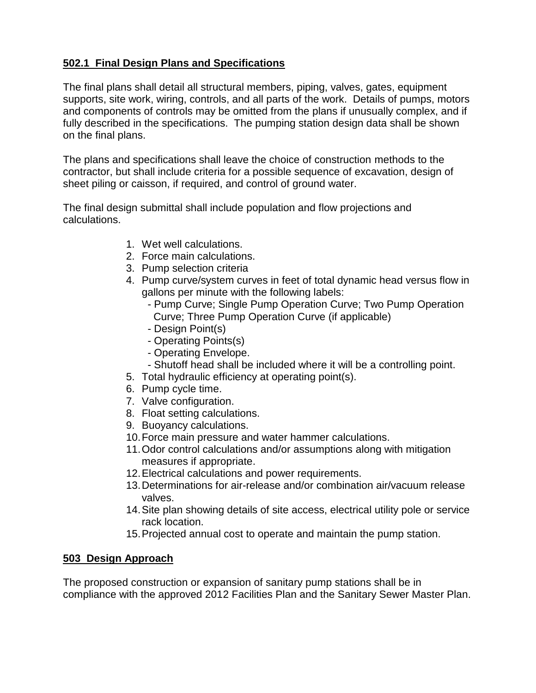# **502.1 Final Design Plans and Specifications**

The final plans shall detail all structural members, piping, valves, gates, equipment supports, site work, wiring, controls, and all parts of the work. Details of pumps, motors and components of controls may be omitted from the plans if unusually complex, and if fully described in the specifications. The pumping station design data shall be shown on the final plans.

The plans and specifications shall leave the choice of construction methods to the contractor, but shall include criteria for a possible sequence of excavation, design of sheet piling or caisson, if required, and control of ground water.

The final design submittal shall include population and flow projections and calculations.

- 1. Wet well calculations.
- 2. Force main calculations.
- 3. Pump selection criteria
- 4. Pump curve/system curves in feet of total dynamic head versus flow in gallons per minute with the following labels:
	- Pump Curve; Single Pump Operation Curve; Two Pump Operation Curve; Three Pump Operation Curve (if applicable)
	- Design Point(s)
	- Operating Points(s)
	- Operating Envelope.
	- Shutoff head shall be included where it will be a controlling point.
- 5. Total hydraulic efficiency at operating point(s).
- 6. Pump cycle time.
- 7. Valve configuration.
- 8. Float setting calculations.
- 9. Buoyancy calculations.
- 10.Force main pressure and water hammer calculations.
- 11.Odor control calculations and/or assumptions along with mitigation measures if appropriate.
- 12.Electrical calculations and power requirements.
- 13.Determinations for air-release and/or combination air/vacuum release valves.
- 14.Site plan showing details of site access, electrical utility pole or service rack location.
- 15.Projected annual cost to operate and maintain the pump station.

## **503 Design Approach**

The proposed construction or expansion of sanitary pump stations shall be in compliance with the approved 2012 Facilities Plan and the Sanitary Sewer Master Plan.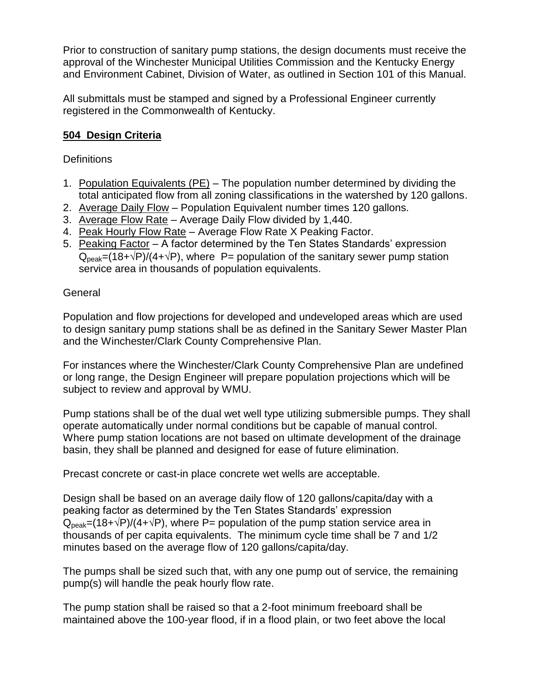Prior to construction of sanitary pump stations, the design documents must receive the approval of the Winchester Municipal Utilities Commission and the Kentucky Energy and Environment Cabinet, Division of Water, as outlined in Section 101 of this Manual.

All submittals must be stamped and signed by a Professional Engineer currently registered in the Commonwealth of Kentucky.

# **504 Design Criteria**

#### **Definitions**

- 1. Population Equivalents (PE) The population number determined by dividing the total anticipated flow from all zoning classifications in the watershed by 120 gallons.
- 2. Average Daily Flow Population Equivalent number times 120 gallons.
- 3. Average Flow Rate Average Daily Flow divided by 1,440.
- 4. Peak Hourly Flow Rate Average Flow Rate X Peaking Factor.
- 5. Peaking Factor A factor determined by the Ten States Standards' expression  $Q_{peak}=(18+\sqrt{P})/(4+\sqrt{P})$ , where P= population of the sanitary sewer pump station service area in thousands of population equivalents.

#### General

Population and flow projections for developed and undeveloped areas which are used to design sanitary pump stations shall be as defined in the Sanitary Sewer Master Plan and the Winchester/Clark County Comprehensive Plan.

For instances where the Winchester/Clark County Comprehensive Plan are undefined or long range, the Design Engineer will prepare population projections which will be subject to review and approval by WMU.

Pump stations shall be of the dual wet well type utilizing submersible pumps. They shall operate automatically under normal conditions but be capable of manual control. Where pump station locations are not based on ultimate development of the drainage basin, they shall be planned and designed for ease of future elimination.

Precast concrete or cast-in place concrete wet wells are acceptable.

Design shall be based on an average daily flow of 120 gallons/capita/day with a peaking factor as determined by the Ten States Standards' expression  $Q_{peak}=(18+\sqrt{P})/(4+\sqrt{P})$ , where P= population of the pump station service area in thousands of per capita equivalents. The minimum cycle time shall be 7 and 1/2 minutes based on the average flow of 120 gallons/capita/day.

The pumps shall be sized such that, with any one pump out of service, the remaining pump(s) will handle the peak hourly flow rate.

The pump station shall be raised so that a 2-foot minimum freeboard shall be maintained above the 100-year flood, if in a flood plain, or two feet above the local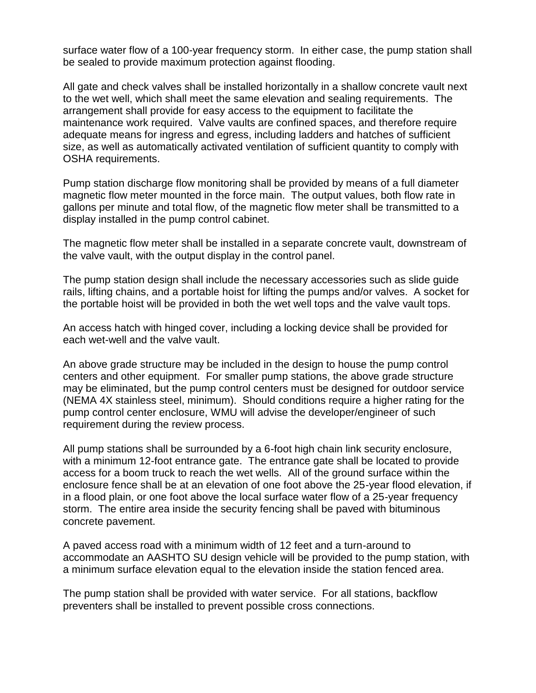surface water flow of a 100-year frequency storm. In either case, the pump station shall be sealed to provide maximum protection against flooding.

All gate and check valves shall be installed horizontally in a shallow concrete vault next to the wet well, which shall meet the same elevation and sealing requirements. The arrangement shall provide for easy access to the equipment to facilitate the maintenance work required. Valve vaults are confined spaces, and therefore require adequate means for ingress and egress, including ladders and hatches of sufficient size, as well as automatically activated ventilation of sufficient quantity to comply with OSHA requirements.

Pump station discharge flow monitoring shall be provided by means of a full diameter magnetic flow meter mounted in the force main. The output values, both flow rate in gallons per minute and total flow, of the magnetic flow meter shall be transmitted to a display installed in the pump control cabinet.

The magnetic flow meter shall be installed in a separate concrete vault, downstream of the valve vault, with the output display in the control panel.

The pump station design shall include the necessary accessories such as slide guide rails, lifting chains, and a portable hoist for lifting the pumps and/or valves. A socket for the portable hoist will be provided in both the wet well tops and the valve vault tops.

An access hatch with hinged cover, including a locking device shall be provided for each wet-well and the valve vault.

An above grade structure may be included in the design to house the pump control centers and other equipment. For smaller pump stations, the above grade structure may be eliminated, but the pump control centers must be designed for outdoor service (NEMA 4X stainless steel, minimum). Should conditions require a higher rating for the pump control center enclosure, WMU will advise the developer/engineer of such requirement during the review process.

All pump stations shall be surrounded by a 6-foot high chain link security enclosure, with a minimum 12-foot entrance gate. The entrance gate shall be located to provide access for a boom truck to reach the wet wells. All of the ground surface within the enclosure fence shall be at an elevation of one foot above the 25-year flood elevation, if in a flood plain, or one foot above the local surface water flow of a 25-year frequency storm. The entire area inside the security fencing shall be paved with bituminous concrete pavement.

A paved access road with a minimum width of 12 feet and a turn-around to accommodate an AASHTO SU design vehicle will be provided to the pump station, with a minimum surface elevation equal to the elevation inside the station fenced area.

The pump station shall be provided with water service. For all stations, backflow preventers shall be installed to prevent possible cross connections.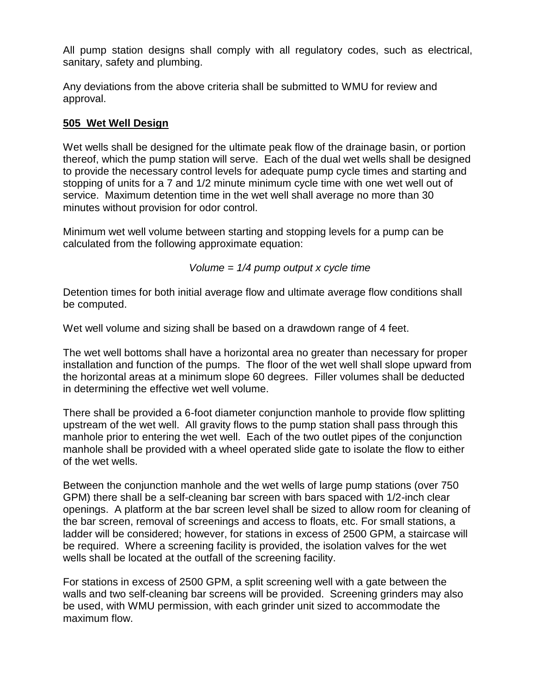All pump station designs shall comply with all regulatory codes, such as electrical, sanitary, safety and plumbing.

Any deviations from the above criteria shall be submitted to WMU for review and approval.

## **505 Wet Well Design**

Wet wells shall be designed for the ultimate peak flow of the drainage basin, or portion thereof, which the pump station will serve. Each of the dual wet wells shall be designed to provide the necessary control levels for adequate pump cycle times and starting and stopping of units for a 7 and 1/2 minute minimum cycle time with one wet well out of service. Maximum detention time in the wet well shall average no more than 30 minutes without provision for odor control.

Minimum wet well volume between starting and stopping levels for a pump can be calculated from the following approximate equation:

*Volume = 1/4 pump output x cycle time*

Detention times for both initial average flow and ultimate average flow conditions shall be computed.

Wet well volume and sizing shall be based on a drawdown range of 4 feet.

The wet well bottoms shall have a horizontal area no greater than necessary for proper installation and function of the pumps. The floor of the wet well shall slope upward from the horizontal areas at a minimum slope 60 degrees. Filler volumes shall be deducted in determining the effective wet well volume.

There shall be provided a 6-foot diameter conjunction manhole to provide flow splitting upstream of the wet well. All gravity flows to the pump station shall pass through this manhole prior to entering the wet well. Each of the two outlet pipes of the conjunction manhole shall be provided with a wheel operated slide gate to isolate the flow to either of the wet wells.

Between the conjunction manhole and the wet wells of large pump stations (over 750 GPM) there shall be a self-cleaning bar screen with bars spaced with 1/2-inch clear openings. A platform at the bar screen level shall be sized to allow room for cleaning of the bar screen, removal of screenings and access to floats, etc. For small stations, a ladder will be considered; however, for stations in excess of 2500 GPM, a staircase will be required. Where a screening facility is provided, the isolation valves for the wet wells shall be located at the outfall of the screening facility.

For stations in excess of 2500 GPM, a split screening well with a gate between the walls and two self-cleaning bar screens will be provided. Screening grinders may also be used, with WMU permission, with each grinder unit sized to accommodate the maximum flow.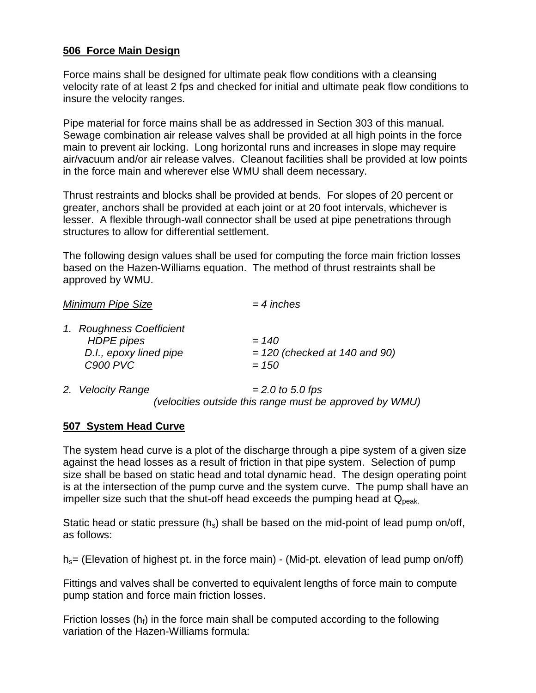#### **506 Force Main Design**

Force mains shall be designed for ultimate peak flow conditions with a cleansing velocity rate of at least 2 fps and checked for initial and ultimate peak flow conditions to insure the velocity ranges.

Pipe material for force mains shall be as addressed in Section 303 of this manual. Sewage combination air release valves shall be provided at all high points in the force main to prevent air locking. Long horizontal runs and increases in slope may require air/vacuum and/or air release valves. Cleanout facilities shall be provided at low points in the force main and wherever else WMU shall deem necessary.

Thrust restraints and blocks shall be provided at bends. For slopes of 20 percent or greater, anchors shall be provided at each joint or at 20 foot intervals, whichever is lesser. A flexible through-wall connector shall be used at pipe penetrations through structures to allow for differential settlement.

The following design values shall be used for computing the force main friction losses based on the Hazen-Williams equation. The method of thrust restraints shall be approved by WMU.

| <b>JVIII III IIUIIII</b> FIN <del>C</del>                                                  | – 7 11161100                                          |  |
|--------------------------------------------------------------------------------------------|-------------------------------------------------------|--|
| 1. Roughness Coefficient<br><b>HDPE</b> pipes<br>D.I., epoxy lined pipe<br><b>C900 PVC</b> | $= 140$<br>$= 120$ (checked at 140 and 90)<br>$= 150$ |  |
| $\bigcap$ $\bigcup_{n=1}^{n}$ $\bigcup_{n=1}^{n}$                                          | $0.015$ $0.025$                                       |  |

*Minimum Pipe Size = 4 inches*

*2. Velocity Range = 2.0 to 5.0 fps (velocities outside this range must be approved by WMU)*

## **507 System Head Curve**

The system head curve is a plot of the discharge through a pipe system of a given size against the head losses as a result of friction in that pipe system. Selection of pump size shall be based on static head and total dynamic head. The design operating point is at the intersection of the pump curve and the system curve. The pump shall have an impeller size such that the shut-off head exceeds the pumping head at  $Q_{peak}$ .

Static head or static pressure  $(h_s)$  shall be based on the mid-point of lead pump on/off, as follows:

 $h_s$  (Elevation of highest pt. in the force main) - (Mid-pt. elevation of lead pump on/off)

Fittings and valves shall be converted to equivalent lengths of force main to compute pump station and force main friction losses.

Friction losses ( $h_i$ ) in the force main shall be computed according to the following variation of the Hazen-Williams formula: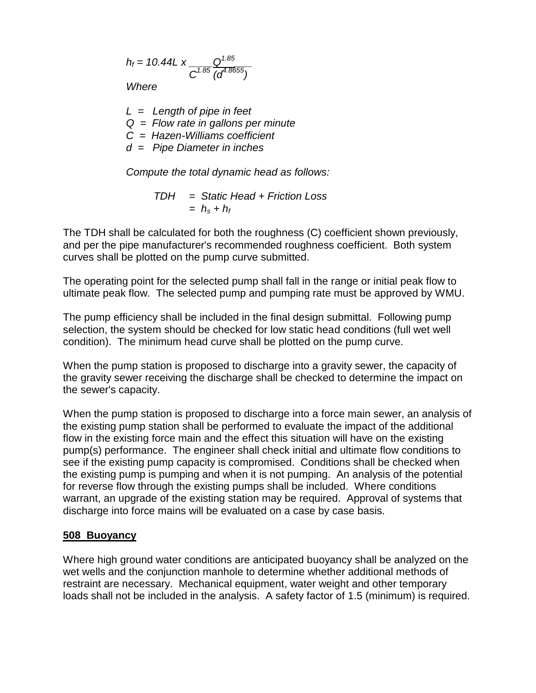$$
h_f = 10.44 \, \text{K} \, \frac{Q^{1.85}}{C^{1.85} \, (d^{4.8655})}
$$

*Where*

*L = Length of pipe in feet Q = Flow rate in gallons per minute C = Hazen-Williams coefficient d = Pipe Diameter in inches*

*Compute the total dynamic head as follows:*

*TDH = Static Head + Friction Loss*  $= h<sub>s</sub> + h<sub>f</sub>$ 

The TDH shall be calculated for both the roughness (C) coefficient shown previously, and per the pipe manufacturer's recommended roughness coefficient. Both system curves shall be plotted on the pump curve submitted.

The operating point for the selected pump shall fall in the range or initial peak flow to ultimate peak flow. The selected pump and pumping rate must be approved by WMU.

The pump efficiency shall be included in the final design submittal. Following pump selection, the system should be checked for low static head conditions (full wet well condition). The minimum head curve shall be plotted on the pump curve.

When the pump station is proposed to discharge into a gravity sewer, the capacity of the gravity sewer receiving the discharge shall be checked to determine the impact on the sewer's capacity.

When the pump station is proposed to discharge into a force main sewer, an analysis of the existing pump station shall be performed to evaluate the impact of the additional flow in the existing force main and the effect this situation will have on the existing pump(s) performance. The engineer shall check initial and ultimate flow conditions to see if the existing pump capacity is compromised. Conditions shall be checked when the existing pump is pumping and when it is not pumping. An analysis of the potential for reverse flow through the existing pumps shall be included. Where conditions warrant, an upgrade of the existing station may be required. Approval of systems that discharge into force mains will be evaluated on a case by case basis.

#### **508 Buoyancy**

Where high ground water conditions are anticipated buoyancy shall be analyzed on the wet wells and the conjunction manhole to determine whether additional methods of restraint are necessary. Mechanical equipment, water weight and other temporary loads shall not be included in the analysis. A safety factor of 1.5 (minimum) is required.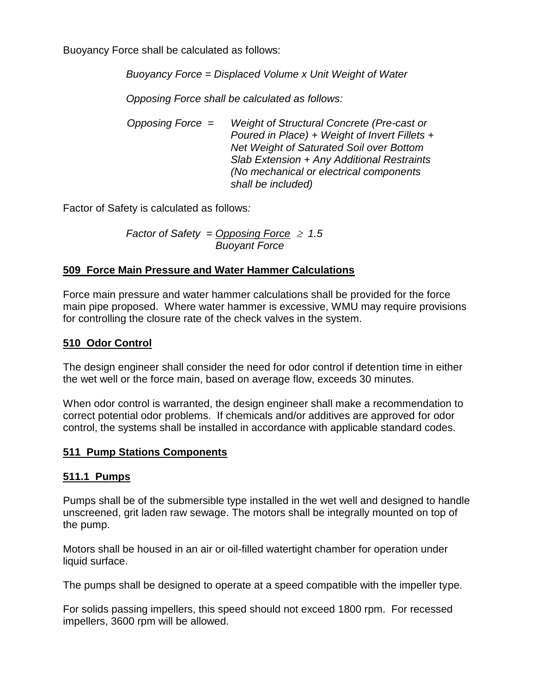Buoyancy Force shall be calculated as follows:

*Buoyancy Force = Displaced Volume x Unit Weight of Water*

*Opposing Force shall be calculated as follows:*

*Opposing Force = Weight of Structural Concrete (Pre-cast or Poured in Place) + Weight of Invert Fillets + Net Weight of Saturated Soil over Bottom Slab Extension + Any Additional Restraints (No mechanical or electrical components shall be included)*

Factor of Safety is calculated as follows*:*

*Factor of Safety = Opposing Force*  $\geq 1.5$  *Buoyant Force*

## **509 Force Main Pressure and Water Hammer Calculations**

Force main pressure and water hammer calculations shall be provided for the force main pipe proposed. Where water hammer is excessive, WMU may require provisions for controlling the closure rate of the check valves in the system.

# **510 Odor Control**

The design engineer shall consider the need for odor control if detention time in either the wet well or the force main, based on average flow, exceeds 30 minutes.

When odor control is warranted, the design engineer shall make a recommendation to correct potential odor problems. If chemicals and/or additives are approved for odor control, the systems shall be installed in accordance with applicable standard codes.

## **511 Pump Stations Components**

#### **511.1 Pumps**

Pumps shall be of the submersible type installed in the wet well and designed to handle unscreened, grit laden raw sewage. The motors shall be integrally mounted on top of the pump.

Motors shall be housed in an air or oil-filled watertight chamber for operation under liquid surface.

The pumps shall be designed to operate at a speed compatible with the impeller type.

For solids passing impellers, this speed should not exceed 1800 rpm. For recessed impellers, 3600 rpm will be allowed.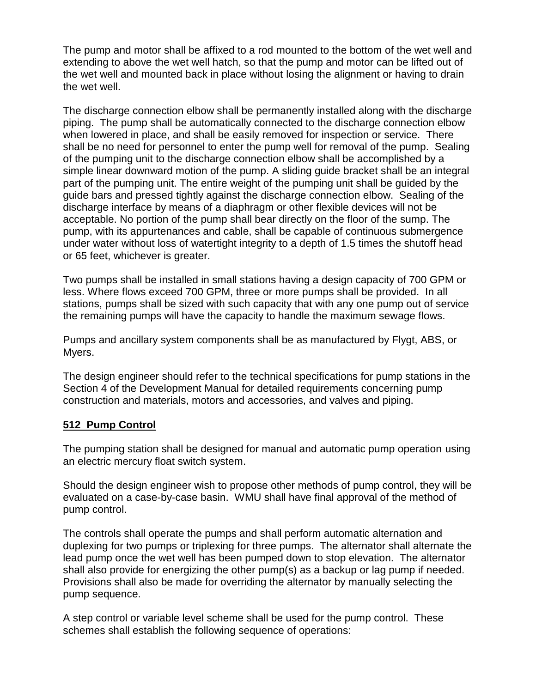The pump and motor shall be affixed to a rod mounted to the bottom of the wet well and extending to above the wet well hatch, so that the pump and motor can be lifted out of the wet well and mounted back in place without losing the alignment or having to drain the wet well.

The discharge connection elbow shall be permanently installed along with the discharge piping. The pump shall be automatically connected to the discharge connection elbow when lowered in place, and shall be easily removed for inspection or service. There shall be no need for personnel to enter the pump well for removal of the pump. Sealing of the pumping unit to the discharge connection elbow shall be accomplished by a simple linear downward motion of the pump. A sliding guide bracket shall be an integral part of the pumping unit. The entire weight of the pumping unit shall be guided by the guide bars and pressed tightly against the discharge connection elbow. Sealing of the discharge interface by means of a diaphragm or other flexible devices will not be acceptable. No portion of the pump shall bear directly on the floor of the sump. The pump, with its appurtenances and cable, shall be capable of continuous submergence under water without loss of watertight integrity to a depth of 1.5 times the shutoff head or 65 feet, whichever is greater.

Two pumps shall be installed in small stations having a design capacity of 700 GPM or less. Where flows exceed 700 GPM, three or more pumps shall be provided. In all stations, pumps shall be sized with such capacity that with any one pump out of service the remaining pumps will have the capacity to handle the maximum sewage flows.

Pumps and ancillary system components shall be as manufactured by Flygt, ABS, or Myers.

The design engineer should refer to the technical specifications for pump stations in the Section 4 of the Development Manual for detailed requirements concerning pump construction and materials, motors and accessories, and valves and piping.

## **512 Pump Control**

The pumping station shall be designed for manual and automatic pump operation using an electric mercury float switch system.

Should the design engineer wish to propose other methods of pump control, they will be evaluated on a case-by-case basin. WMU shall have final approval of the method of pump control.

The controls shall operate the pumps and shall perform automatic alternation and duplexing for two pumps or triplexing for three pumps. The alternator shall alternate the lead pump once the wet well has been pumped down to stop elevation. The alternator shall also provide for energizing the other pump(s) as a backup or lag pump if needed. Provisions shall also be made for overriding the alternator by manually selecting the pump sequence.

A step control or variable level scheme shall be used for the pump control. These schemes shall establish the following sequence of operations: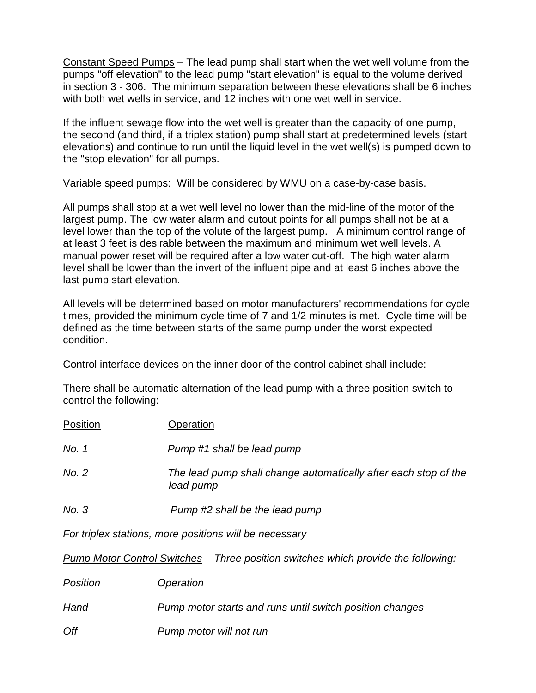Constant Speed Pumps – The lead pump shall start when the wet well volume from the pumps "off elevation" to the lead pump "start elevation" is equal to the volume derived in section 3 - 306. The minimum separation between these elevations shall be 6 inches with both wet wells in service, and 12 inches with one wet well in service.

If the influent sewage flow into the wet well is greater than the capacity of one pump, the second (and third, if a triplex station) pump shall start at predetermined levels (start elevations) and continue to run until the liquid level in the wet well(s) is pumped down to the "stop elevation" for all pumps.

Variable speed pumps: Will be considered by WMU on a case-by-case basis.

All pumps shall stop at a wet well level no lower than the mid-line of the motor of the largest pump. The low water alarm and cutout points for all pumps shall not be at a level lower than the top of the volute of the largest pump. A minimum control range of at least 3 feet is desirable between the maximum and minimum wet well levels. A manual power reset will be required after a low water cut-off. The high water alarm level shall be lower than the invert of the influent pipe and at least 6 inches above the last pump start elevation.

All levels will be determined based on motor manufacturers' recommendations for cycle times, provided the minimum cycle time of 7 and 1/2 minutes is met. Cycle time will be defined as the time between starts of the same pump under the worst expected condition.

Control interface devices on the inner door of the control cabinet shall include:

There shall be automatic alternation of the lead pump with a three position switch to control the following:

| Position | Operation                                                                    |
|----------|------------------------------------------------------------------------------|
| No. 1    | Pump #1 shall be lead pump                                                   |
| No. 2    | The lead pump shall change automatically after each stop of the<br>lead pump |
| No. 3    | Pump #2 shall be the lead pump                                               |

*For triplex stations, more positions will be necessary*

*Pump Motor Control Switches – Three position switches which provide the following:*

| Position | Operation                                                |
|----------|----------------------------------------------------------|
| Hand     | Pump motor starts and runs until switch position changes |
| Off      | Pump motor will not run                                  |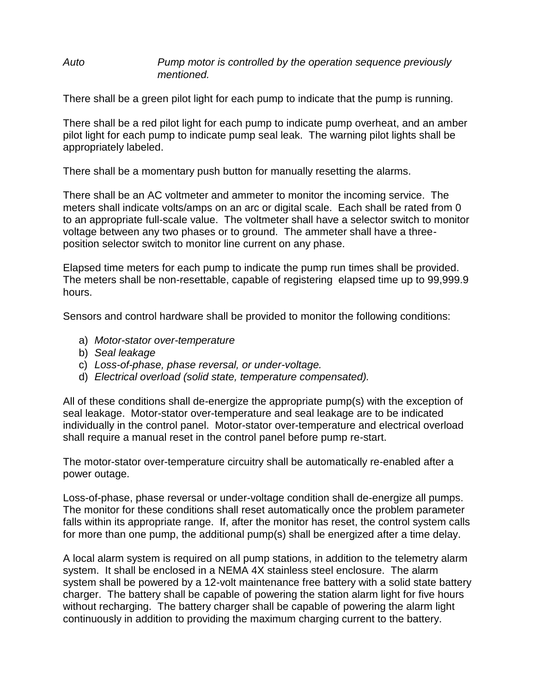#### *Auto Pump motor is controlled by the operation sequence previously mentioned.*

There shall be a green pilot light for each pump to indicate that the pump is running.

There shall be a red pilot light for each pump to indicate pump overheat, and an amber pilot light for each pump to indicate pump seal leak. The warning pilot lights shall be appropriately labeled.

There shall be a momentary push button for manually resetting the alarms.

There shall be an AC voltmeter and ammeter to monitor the incoming service. The meters shall indicate volts/amps on an arc or digital scale. Each shall be rated from 0 to an appropriate full-scale value. The voltmeter shall have a selector switch to monitor voltage between any two phases or to ground. The ammeter shall have a threeposition selector switch to monitor line current on any phase.

Elapsed time meters for each pump to indicate the pump run times shall be provided. The meters shall be non-resettable, capable of registering elapsed time up to 99,999.9 hours.

Sensors and control hardware shall be provided to monitor the following conditions:

- a) *Motor-stator over-temperature*
- b) *Seal leakage*
- c) *Loss-of-phase, phase reversal, or under-voltage.*
- d) *Electrical overload (solid state, temperature compensated).*

All of these conditions shall de-energize the appropriate pump(s) with the exception of seal leakage. Motor-stator over-temperature and seal leakage are to be indicated individually in the control panel. Motor-stator over-temperature and electrical overload shall require a manual reset in the control panel before pump re-start.

The motor-stator over-temperature circuitry shall be automatically re-enabled after a power outage.

Loss-of-phase, phase reversal or under-voltage condition shall de-energize all pumps. The monitor for these conditions shall reset automatically once the problem parameter falls within its appropriate range. If, after the monitor has reset, the control system calls for more than one pump, the additional pump(s) shall be energized after a time delay.

A local alarm system is required on all pump stations, in addition to the telemetry alarm system. It shall be enclosed in a NEMA 4X stainless steel enclosure. The alarm system shall be powered by a 12-volt maintenance free battery with a solid state battery charger. The battery shall be capable of powering the station alarm light for five hours without recharging. The battery charger shall be capable of powering the alarm light continuously in addition to providing the maximum charging current to the battery.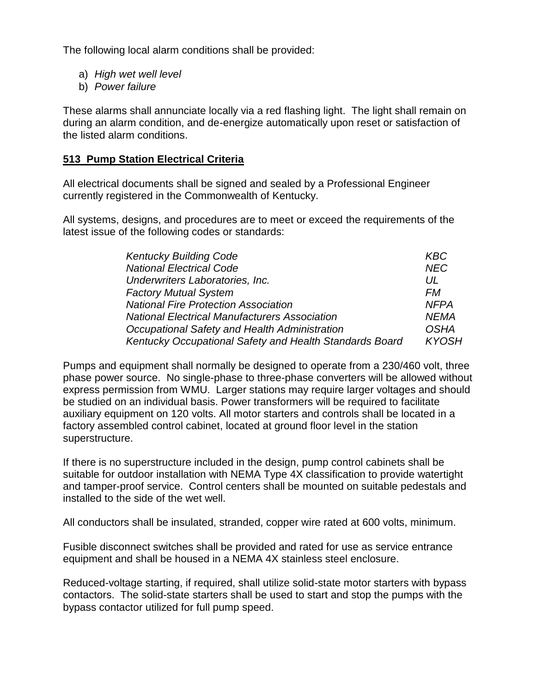The following local alarm conditions shall be provided:

- a) *High wet well level*
- b) *Power failure*

These alarms shall annunciate locally via a red flashing light. The light shall remain on during an alarm condition, and de-energize automatically upon reset or satisfaction of the listed alarm conditions.

#### **513 Pump Station Electrical Criteria**

All electrical documents shall be signed and sealed by a Professional Engineer currently registered in the Commonwealth of Kentucky.

All systems, designs, and procedures are to meet or exceed the requirements of the latest issue of the following codes or standards:

| <b>Kentucky Building Code</b>                           | KBC        |
|---------------------------------------------------------|------------|
| <b>National Electrical Code</b>                         | <b>NEC</b> |
| Underwriters Laboratories, Inc.                         |            |
| <b>Factory Mutual System</b>                            |            |
| <b>National Fire Protection Association</b>             |            |
| <b>National Electrical Manufacturers Association</b>    |            |
| Occupational Safety and Health Administration           |            |
| Kentucky Occupational Safety and Health Standards Board |            |

Pumps and equipment shall normally be designed to operate from a 230/460 volt, three phase power source. No single-phase to three-phase converters will be allowed without express permission from WMU. Larger stations may require larger voltages and should be studied on an individual basis. Power transformers will be required to facilitate auxiliary equipment on 120 volts. All motor starters and controls shall be located in a factory assembled control cabinet, located at ground floor level in the station superstructure.

If there is no superstructure included in the design, pump control cabinets shall be suitable for outdoor installation with NEMA Type 4X classification to provide watertight and tamper-proof service. Control centers shall be mounted on suitable pedestals and installed to the side of the wet well.

All conductors shall be insulated, stranded, copper wire rated at 600 volts, minimum.

Fusible disconnect switches shall be provided and rated for use as service entrance equipment and shall be housed in a NEMA 4X stainless steel enclosure.

Reduced-voltage starting, if required, shall utilize solid-state motor starters with bypass contactors. The solid-state starters shall be used to start and stop the pumps with the bypass contactor utilized for full pump speed.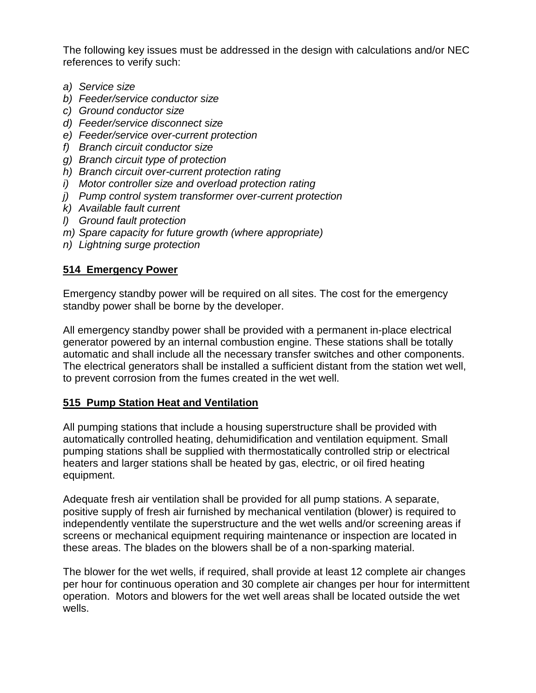The following key issues must be addressed in the design with calculations and/or NEC references to verify such:

- *a) Service size*
- *b) Feeder/service conductor size*
- *c) Ground conductor size*
- *d) Feeder/service disconnect size*
- *e) Feeder/service over-current protection*
- *f) Branch circuit conductor size*
- *g) Branch circuit type of protection*
- *h) Branch circuit over-current protection rating*
- *i) Motor controller size and overload protection rating*
- *j) Pump control system transformer over-current protection*
- *k) Available fault current*
- *l) Ground fault protection*
- *m) Spare capacity for future growth (where appropriate)*
- *n) Lightning surge protection*

# **514 Emergency Power**

Emergency standby power will be required on all sites. The cost for the emergency standby power shall be borne by the developer.

All emergency standby power shall be provided with a permanent in-place electrical generator powered by an internal combustion engine. These stations shall be totally automatic and shall include all the necessary transfer switches and other components. The electrical generators shall be installed a sufficient distant from the station wet well, to prevent corrosion from the fumes created in the wet well.

# **515 Pump Station Heat and Ventilation**

All pumping stations that include a housing superstructure shall be provided with automatically controlled heating, dehumidification and ventilation equipment. Small pumping stations shall be supplied with thermostatically controlled strip or electrical heaters and larger stations shall be heated by gas, electric, or oil fired heating equipment.

Adequate fresh air ventilation shall be provided for all pump stations. A separate, positive supply of fresh air furnished by mechanical ventilation (blower) is required to independently ventilate the superstructure and the wet wells and/or screening areas if screens or mechanical equipment requiring maintenance or inspection are located in these areas. The blades on the blowers shall be of a non-sparking material.

The blower for the wet wells, if required, shall provide at least 12 complete air changes per hour for continuous operation and 30 complete air changes per hour for intermittent operation. Motors and blowers for the wet well areas shall be located outside the wet wells.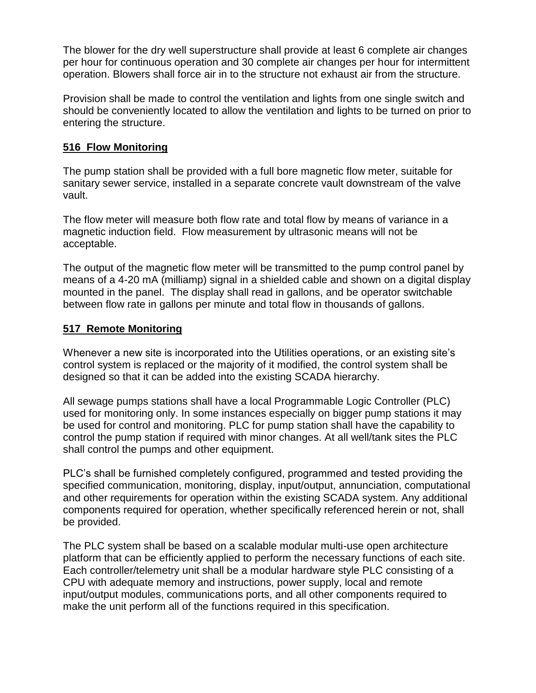The blower for the dry well superstructure shall provide at least 6 complete air changes per hour for continuous operation and 30 complete air changes per hour for intermittent operation. Blowers shall force air in to the structure not exhaust air from the structure.

Provision shall be made to control the ventilation and lights from one single switch and should be conveniently located to allow the ventilation and lights to be turned on prior to entering the structure.

## **516 Flow Monitoring**

The pump station shall be provided with a full bore magnetic flow meter, suitable for sanitary sewer service, installed in a separate concrete vault downstream of the valve vault.

The flow meter will measure both flow rate and total flow by means of variance in a magnetic induction field. Flow measurement by ultrasonic means will not be acceptable.

The output of the magnetic flow meter will be transmitted to the pump control panel by means of a 4-20 mA (milliamp) signal in a shielded cable and shown on a digital display mounted in the panel. The display shall read in gallons, and be operator switchable between flow rate in gallons per minute and total flow in thousands of gallons.

#### **517 Remote Monitoring**

Whenever a new site is incorporated into the Utilities operations, or an existing site's control system is replaced or the majority of it modified, the control system shall be designed so that it can be added into the existing SCADA hierarchy.

All sewage pumps stations shall have a local Programmable Logic Controller (PLC) used for monitoring only. In some instances especially on bigger pump stations it may be used for control and monitoring. PLC for pump station shall have the capability to control the pump station if required with minor changes. At all well/tank sites the PLC shall control the pumps and other equipment.

PLC's shall be furnished completely configured, programmed and tested providing the specified communication, monitoring, display, input/output, annunciation, computational and other requirements for operation within the existing SCADA system. Any additional components required for operation, whether specifically referenced herein or not, shall be provided.

The PLC system shall be based on a scalable modular multi-use open architecture platform that can be efficiently applied to perform the necessary functions of each site. Each controller/telemetry unit shall be a modular hardware style PLC consisting of a CPU with adequate memory and instructions, power supply, local and remote input/output modules, communications ports, and all other components required to make the unit perform all of the functions required in this specification.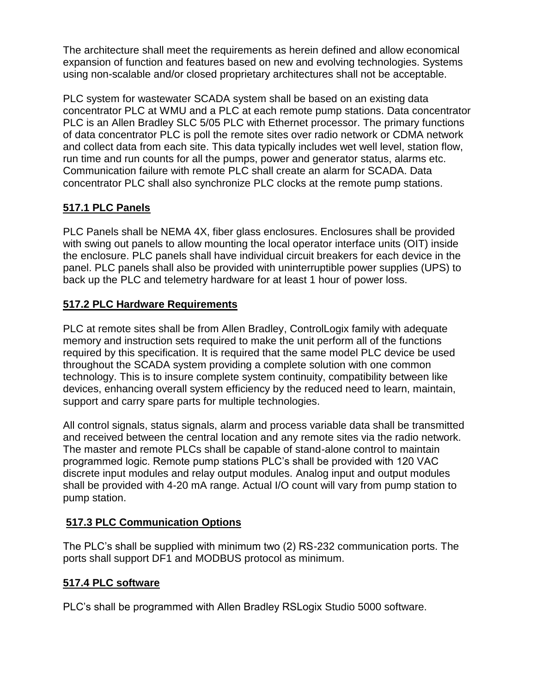The architecture shall meet the requirements as herein defined and allow economical expansion of function and features based on new and evolving technologies. Systems using non-scalable and/or closed proprietary architectures shall not be acceptable.

PLC system for wastewater SCADA system shall be based on an existing data concentrator PLC at WMU and a PLC at each remote pump stations. Data concentrator PLC is an Allen Bradley SLC 5/05 PLC with Ethernet processor. The primary functions of data concentrator PLC is poll the remote sites over radio network or CDMA network and collect data from each site. This data typically includes wet well level, station flow, run time and run counts for all the pumps, power and generator status, alarms etc. Communication failure with remote PLC shall create an alarm for SCADA. Data concentrator PLC shall also synchronize PLC clocks at the remote pump stations.

# **517.1 PLC Panels**

PLC Panels shall be NEMA 4X, fiber glass enclosures. Enclosures shall be provided with swing out panels to allow mounting the local operator interface units (OIT) inside the enclosure. PLC panels shall have individual circuit breakers for each device in the panel. PLC panels shall also be provided with uninterruptible power supplies (UPS) to back up the PLC and telemetry hardware for at least 1 hour of power loss.

# **517.2 PLC Hardware Requirements**

PLC at remote sites shall be from Allen Bradley, ControlLogix family with adequate memory and instruction sets required to make the unit perform all of the functions required by this specification. It is required that the same model PLC device be used throughout the SCADA system providing a complete solution with one common technology. This is to insure complete system continuity, compatibility between like devices, enhancing overall system efficiency by the reduced need to learn, maintain, support and carry spare parts for multiple technologies.

All control signals, status signals, alarm and process variable data shall be transmitted and received between the central location and any remote sites via the radio network. The master and remote PLCs shall be capable of stand-alone control to maintain programmed logic. Remote pump stations PLC's shall be provided with 120 VAC discrete input modules and relay output modules. Analog input and output modules shall be provided with 4-20 mA range. Actual I/O count will vary from pump station to pump station.

# **517.3 PLC Communication Options**

The PLC's shall be supplied with minimum two (2) RS-232 communication ports. The ports shall support DF1 and MODBUS protocol as minimum.

## **517.4 PLC software**

PLC's shall be programmed with Allen Bradley RSLogix Studio 5000 software.